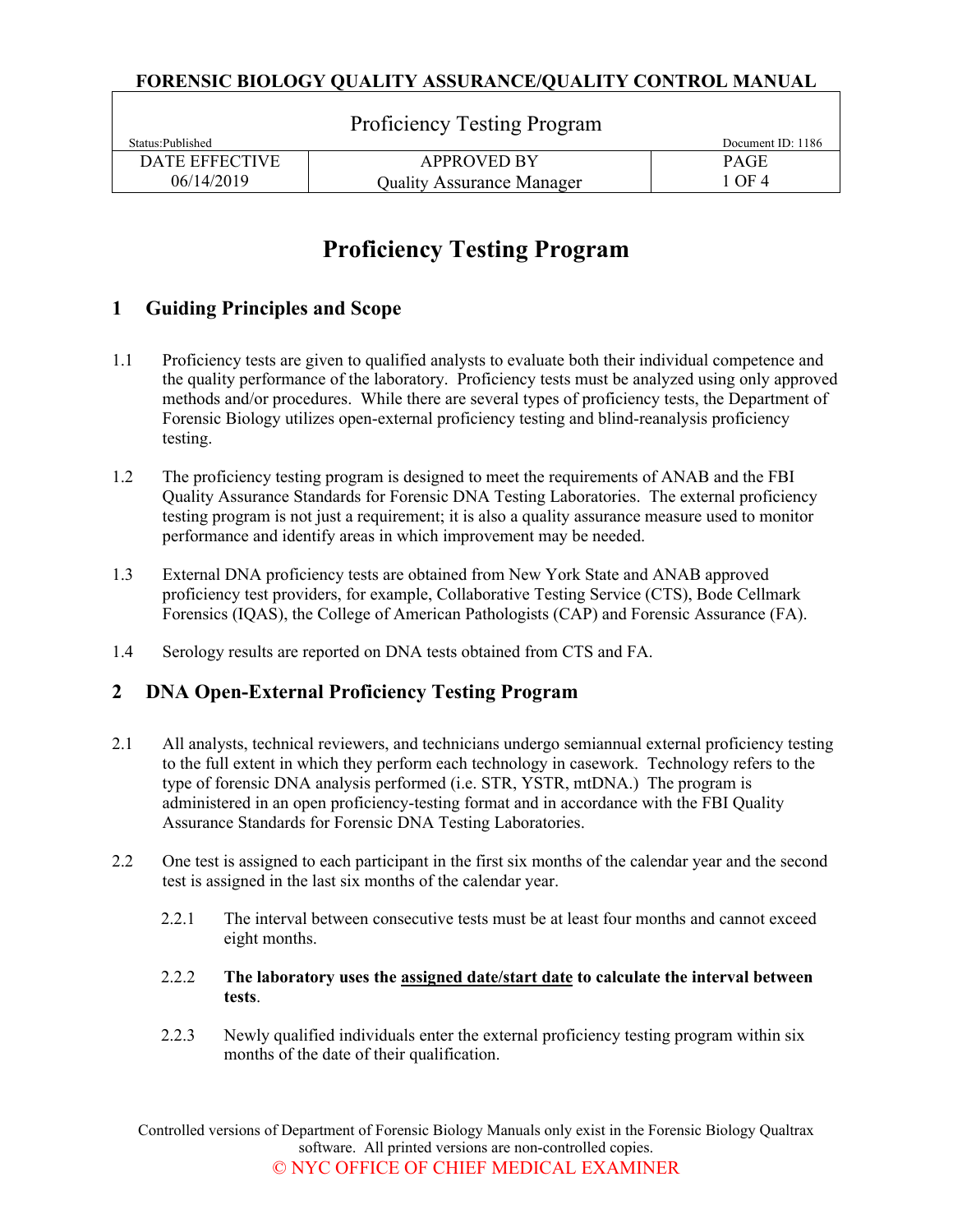|                       | <b>Proficiency Testing Program</b> |                   |
|-----------------------|------------------------------------|-------------------|
| Status: Published     |                                    | Document ID: 1186 |
| <b>DATE EFFECTIVE</b> | <b>APPROVED BY</b>                 | <b>PAGE</b>       |
| 06/14/2019            | <b>Quality Assurance Manager</b>   | 1 OF 4            |

# **Proficiency Testing Program**

### **1 Guiding Principles and Scope**

- 1.1 Proficiency tests are given to qualified analysts to evaluate both their individual competence and the quality performance of the laboratory. Proficiency tests must be analyzed using only approved methods and/or procedures. While there are several types of proficiency tests, the Department of Forensic Biology utilizes open-external proficiency testing and blind-reanalysis proficiency testing.
- 1.2 The proficiency testing program is designed to meet the requirements of ANAB and the FBI Quality Assurance Standards for Forensic DNA Testing Laboratories. The external proficiency testing program is not just a requirement; it is also a quality assurance measure used to monitor performance and identify areas in which improvement may be needed.
- 1.3 External DNA proficiency tests are obtained from New York State and ANAB approved proficiency test providers, for example, Collaborative Testing Service (CTS), Bode Cellmark Forensics (IQAS), the College of American Pathologists (CAP) and Forensic Assurance (FA).
- 1.4 Serology results are reported on DNA tests obtained from CTS and FA.

#### **2 DNA Open-External Proficiency Testing Program**

- 2.1 All analysts, technical reviewers, and technicians undergo semiannual external proficiency testing to the full extent in which they perform each technology in casework. Technology refers to the type of forensic DNA analysis performed (i.e. STR, YSTR, mtDNA.) The program is administered in an open proficiency-testing format and in accordance with the FBI Quality Assurance Standards for Forensic DNA Testing Laboratories.
- 2.2 One test is assigned to each participant in the first six months of the calendar year and the second test is assigned in the last six months of the calendar year.
	- 2.2.1 The interval between consecutive tests must be at least four months and cannot exceed eight months.
	- 2.2.2 **The laboratory uses the assigned date/start date to calculate the interval between tests**.
	- 2.2.3 Newly qualified individuals enter the external proficiency testing program within six months of the date of their qualification.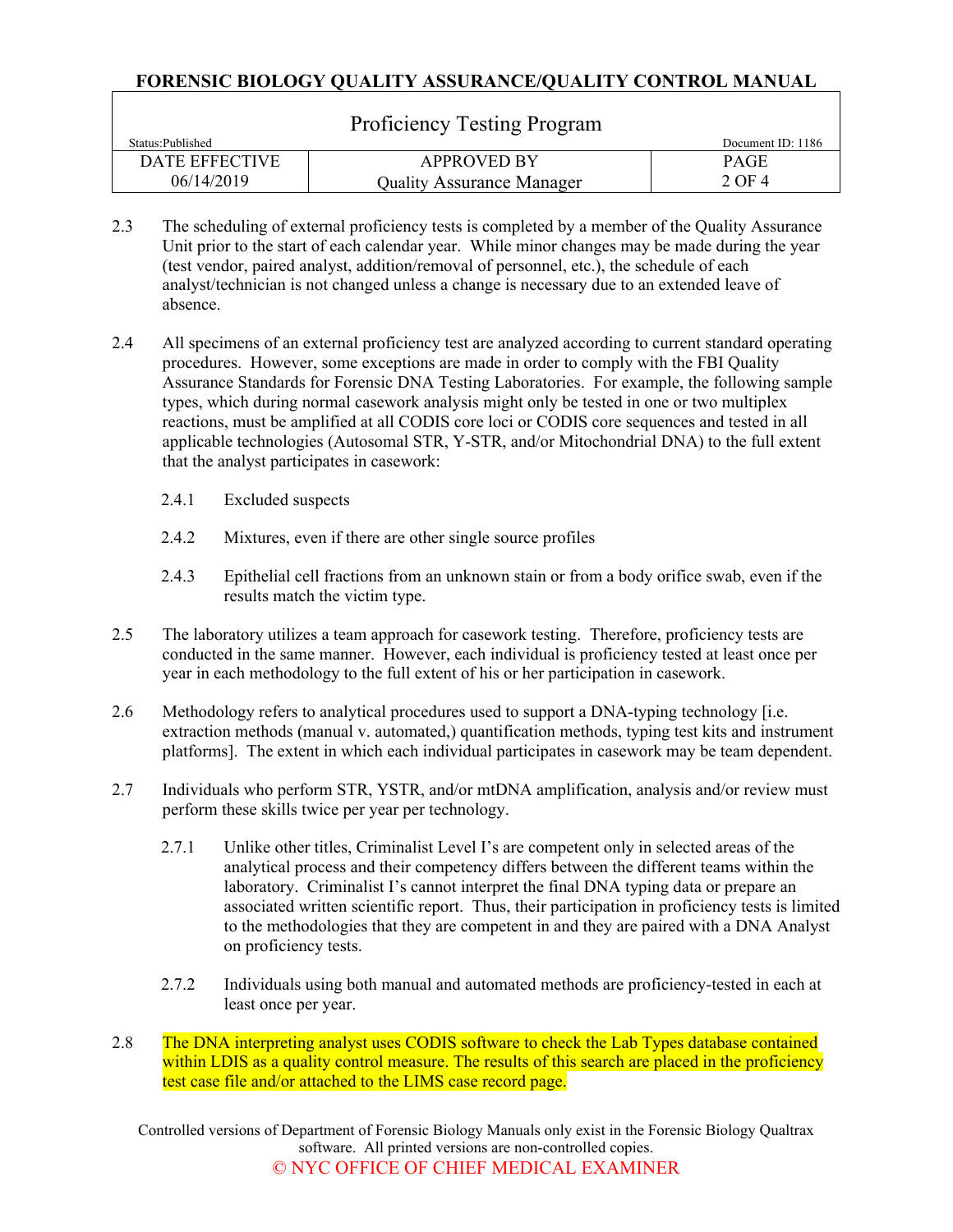| <b>Proficiency Testing Program</b> |                                  |                   |  |  |
|------------------------------------|----------------------------------|-------------------|--|--|
| Status: Published                  |                                  | Document ID: 1186 |  |  |
| DATE EFFECTIVE                     | <b>APPROVED BY</b>               | <b>PAGE</b>       |  |  |
| 06/14/2019                         | <b>Quality Assurance Manager</b> | 2 OF 4            |  |  |

- 2.3 The scheduling of external proficiency tests is completed by a member of the Quality Assurance Unit prior to the start of each calendar year. While minor changes may be made during the year (test vendor, paired analyst, addition/removal of personnel, etc.), the schedule of each analyst/technician is not changed unless a change is necessary due to an extended leave of absence.
- 2.4 All specimens of an external proficiency test are analyzed according to current standard operating procedures. However, some exceptions are made in order to comply with the FBI Quality Assurance Standards for Forensic DNA Testing Laboratories. For example, the following sample types, which during normal casework analysis might only be tested in one or two multiplex reactions, must be amplified at all CODIS core loci or CODIS core sequences and tested in all applicable technologies (Autosomal STR, Y-STR, and/or Mitochondrial DNA) to the full extent that the analyst participates in casework:
	- 2.4.1 Excluded suspects
	- 2.4.2 Mixtures, even if there are other single source profiles
	- 2.4.3 Epithelial cell fractions from an unknown stain or from a body orifice swab, even if the results match the victim type.
- 2.5 The laboratory utilizes a team approach for casework testing. Therefore, proficiency tests are conducted in the same manner. However, each individual is proficiency tested at least once per year in each methodology to the full extent of his or her participation in casework.
- 2.6 Methodology refers to analytical procedures used to support a DNA-typing technology [i.e. extraction methods (manual v. automated,) quantification methods, typing test kits and instrument platforms]. The extent in which each individual participates in casework may be team dependent.
- 2.7 Individuals who perform STR, YSTR, and/or mtDNA amplification, analysis and/or review must perform these skills twice per year per technology.
	- 2.7.1 Unlike other titles, Criminalist Level I's are competent only in selected areas of the analytical process and their competency differs between the different teams within the laboratory. Criminalist I's cannot interpret the final DNA typing data or prepare an associated written scientific report. Thus, their participation in proficiency tests is limited to the methodologies that they are competent in and they are paired with a DNA Analyst on proficiency tests.
	- 2.7.2 Individuals using both manual and automated methods are proficiency-tested in each at least once per year.
- 2.8 The DNA interpreting analyst uses CODIS software to check the Lab Types database contained within LDIS as a quality control measure. The results of this search are placed in the proficiency test case file and/or attached to the LIMS case record page.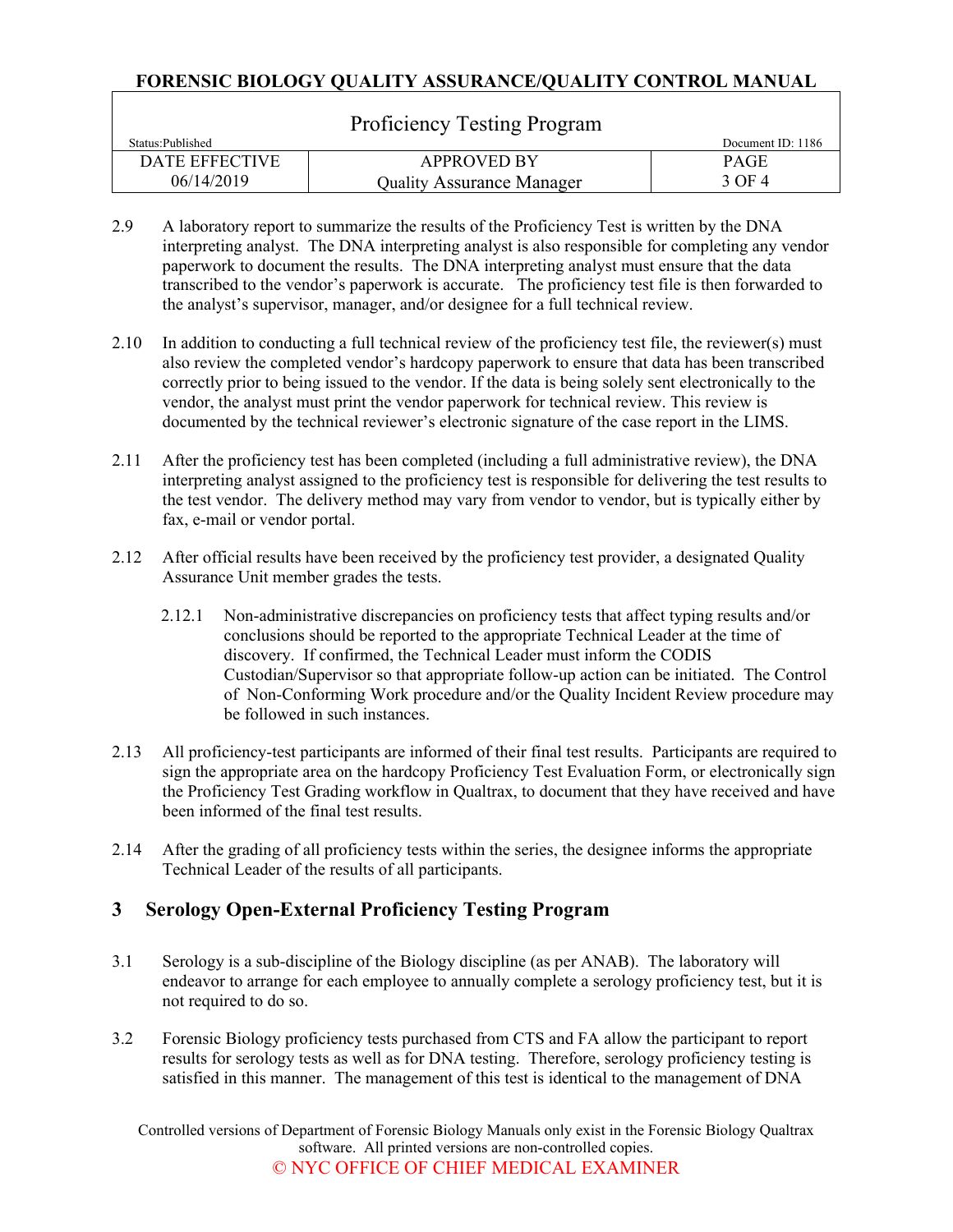| <b>Proficiency Testing Program</b> |                                  |                   |  |  |
|------------------------------------|----------------------------------|-------------------|--|--|
| Status: Published                  |                                  | Document ID: 1186 |  |  |
| DATE EFFECTIVE                     | <b>APPROVED BY</b>               | <b>PAGE</b>       |  |  |
| 06/14/2019                         | <b>Quality Assurance Manager</b> | 3 OF 4            |  |  |

- 2.9 A laboratory report to summarize the results of the Proficiency Test is written by the DNA interpreting analyst. The DNA interpreting analyst is also responsible for completing any vendor paperwork to document the results. The DNA interpreting analyst must ensure that the data transcribed to the vendor's paperwork is accurate. The proficiency test file is then forwarded to the analyst's supervisor, manager, and/or designee for a full technical review.
- 2.10 In addition to conducting a full technical review of the proficiency test file, the reviewer(s) must also review the completed vendor's hardcopy paperwork to ensure that data has been transcribed correctly prior to being issued to the vendor. If the data is being solely sent electronically to the vendor, the analyst must print the vendor paperwork for technical review. This review is documented by the technical reviewer's electronic signature of the case report in the LIMS.
- 2.11 After the proficiency test has been completed (including a full administrative review), the DNA interpreting analyst assigned to the proficiency test is responsible for delivering the test results to the test vendor. The delivery method may vary from vendor to vendor, but is typically either by fax, e-mail or vendor portal.
- 2.12 After official results have been received by the proficiency test provider, a designated Quality Assurance Unit member grades the tests.
	- 2.12.1 Non-administrative discrepancies on proficiency tests that affect typing results and/or conclusions should be reported to the appropriate Technical Leader at the time of discovery. If confirmed, the Technical Leader must inform the CODIS Custodian/Supervisor so that appropriate follow-up action can be initiated. The Control of [Non-Conforming](http://qualtrax.csc.nycnet/Default.aspx?ID=1187) Work procedure and/or the Quality Incident Review procedure may be followed in such instances.
- 2.13 All proficiency-test participants are informed of their final test results. Participants are required to sign the appropriate area on the hardcopy Proficiency Test Evaluation Form, or electronically sign the Proficiency Test Grading workflow in Qualtrax, to document that they have received and have been informed of the final test results.
- 2.14 After the grading of all proficiency tests within the series, the designee informs the appropriate Technical Leader of the results of all participants.

## **3 Serology Open-External Proficiency Testing Program**

- 3.1 Serology is a sub-discipline of the Biology discipline (as per ANAB). The laboratory will endeavor to arrange for each employee to annually complete a serology proficiency test, but it is not required to do so.
- 3.2 Forensic Biology proficiency tests purchased from CTS and FA allow the participant to report results for serology tests as well as for DNA testing. Therefore, serology proficiency testing is satisfied in this manner. The management of this test is identical to the management of DNA